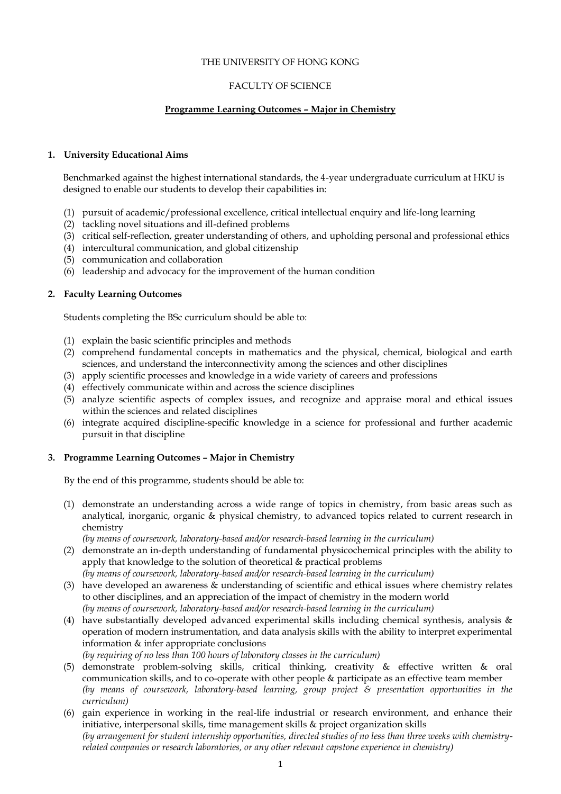## THE UNIVERSITY OF HONG KONG

## FACULTY OF SCIENCE

# **Programme Learning Outcomes – Major in Chemistry**

## **1. University Educational Aims**

Benchmarked against the highest international standards, the 4-year undergraduate curriculum at HKU is designed to enable our students to develop their capabilities in:

- (1) pursuit of academic/professional excellence, critical intellectual enquiry and life-long learning
- (2) tackling novel situations and ill-defined problems
- (3) critical self-reflection, greater understanding of others, and upholding personal and professional ethics
- (4) intercultural communication, and global citizenship
- (5) communication and collaboration
- (6) leadership and advocacy for the improvement of the human condition

## **2. Faculty Learning Outcomes**

Students completing the BSc curriculum should be able to:

- (1) explain the basic scientific principles and methods
- (2) comprehend fundamental concepts in mathematics and the physical, chemical, biological and earth sciences, and understand the interconnectivity among the sciences and other disciplines
- (3) apply scientific processes and knowledge in a wide variety of careers and professions
- (4) effectively communicate within and across the science disciplines
- (5) analyze scientific aspects of complex issues, and recognize and appraise moral and ethical issues within the sciences and related disciplines
- (6) integrate acquired discipline-specific knowledge in a science for professional and further academic pursuit in that discipline

## **3. Programme Learning Outcomes – Major in Chemistry**

By the end of this programme, students should be able to:

(1) demonstrate an understanding across a wide range of topics in chemistry, from basic areas such as analytical, inorganic, organic & physical chemistry, to advanced topics related to current research in chemistry

*(by means of coursework, laboratory-based and/or research-based learning in the curriculum)*

- (2) demonstrate an in-depth understanding of fundamental physicochemical principles with the ability to apply that knowledge to the solution of theoretical & practical problems *(by means of coursework, laboratory-based and/or research-based learning in the curriculum)*
- (3) have developed an awareness & understanding of scientific and ethical issues where chemistry relates to other disciplines, and an appreciation of the impact of chemistry in the modern world *(by means of coursework, laboratory-based and/or research-based learning in the curriculum)*
- (4) have substantially developed advanced experimental skills including chemical synthesis, analysis & operation of modern instrumentation, and data analysis skills with the ability to interpret experimental information & infer appropriate conclusions *(by requiring of no less than 100 hours of laboratory classes in the curriculum)*
- (5) demonstrate problem-solving skills, critical thinking, creativity & effective written & oral communication skills, and to co-operate with other people & participate as an effective team member *(by means of coursework, laboratory-based learning, group project & presentation opportunities in the curriculum)*
- (6) gain experience in working in the real-life industrial or research environment, and enhance their initiative, interpersonal skills, time management skills & project organization skills *(by arrangement for student internship opportunities, directed studies of no less than three weeks with chemistryrelated companies or research laboratories, or any other relevant capstone experience in chemistry)*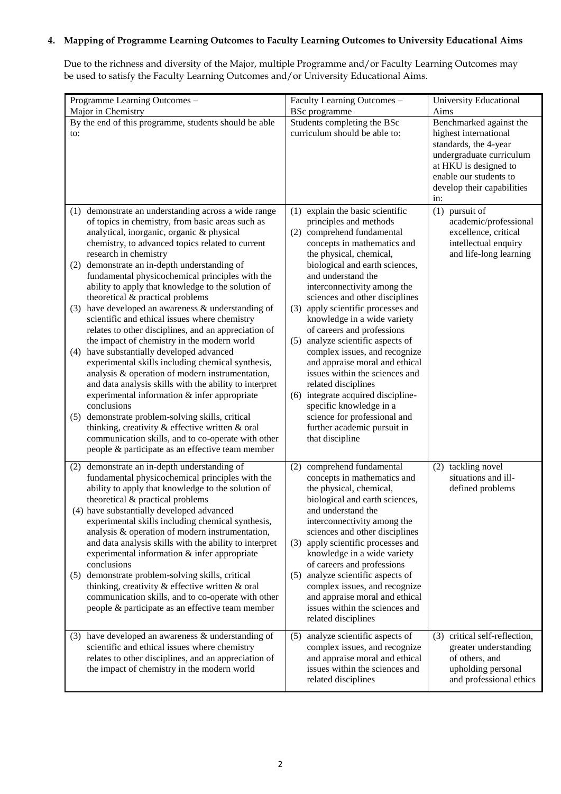# **4. Mapping of Programme Learning Outcomes to Faculty Learning Outcomes to University Educational Aims**

Due to the richness and diversity of the Major, multiple Programme and/or Faculty Learning Outcomes may be used to satisfy the Faculty Learning Outcomes and/or University Educational Aims.

| Programme Learning Outcomes -                                                                                                                                                                                                                                                                                                                                                                                                                                                                  | Faculty Learning Outcomes -                                                                                                                                                                                                                                                              | <b>University Educational</b>                                                                                                                                                                 |
|------------------------------------------------------------------------------------------------------------------------------------------------------------------------------------------------------------------------------------------------------------------------------------------------------------------------------------------------------------------------------------------------------------------------------------------------------------------------------------------------|------------------------------------------------------------------------------------------------------------------------------------------------------------------------------------------------------------------------------------------------------------------------------------------|-----------------------------------------------------------------------------------------------------------------------------------------------------------------------------------------------|
| Major in Chemistry                                                                                                                                                                                                                                                                                                                                                                                                                                                                             | <b>BSc</b> programme                                                                                                                                                                                                                                                                     | Aims                                                                                                                                                                                          |
| By the end of this programme, students should be able<br>to:                                                                                                                                                                                                                                                                                                                                                                                                                                   | Students completing the BSc<br>curriculum should be able to:                                                                                                                                                                                                                             | Benchmarked against the<br>highest international<br>standards, the 4-year<br>undergraduate curriculum<br>at HKU is designed to<br>enable our students to<br>develop their capabilities<br>in: |
| demonstrate an understanding across a wide range<br>(1)<br>of topics in chemistry, from basic areas such as<br>analytical, inorganic, organic & physical<br>chemistry, to advanced topics related to current<br>research in chemistry<br>(2) demonstrate an in-depth understanding of<br>fundamental physicochemical principles with the                                                                                                                                                       | explain the basic scientific<br>(1)<br>principles and methods<br>comprehend fundamental<br>(2)<br>concepts in mathematics and<br>the physical, chemical,<br>biological and earth sciences,<br>and understand the                                                                         | pursuit of<br>(1)<br>academic/professional<br>excellence, critical<br>intellectual enquiry<br>and life-long learning                                                                          |
| ability to apply that knowledge to the solution of<br>theoretical & practical problems<br>$(3)$ have developed an awareness & understanding of<br>scientific and ethical issues where chemistry<br>relates to other disciplines, and an appreciation of<br>the impact of chemistry in the modern world                                                                                                                                                                                         | interconnectivity among the<br>sciences and other disciplines<br>apply scientific processes and<br>(3)<br>knowledge in a wide variety<br>of careers and professions<br>analyze scientific aspects of<br>(5)                                                                              |                                                                                                                                                                                               |
| have substantially developed advanced<br>(4)<br>experimental skills including chemical synthesis,<br>analysis & operation of modern instrumentation,<br>and data analysis skills with the ability to interpret<br>experimental information & infer appropriate<br>conclusions<br>(5) demonstrate problem-solving skills, critical<br>thinking, creativity & effective written & oral<br>communication skills, and to co-operate with other<br>people & participate as an effective team member | complex issues, and recognize<br>and appraise moral and ethical<br>issues within the sciences and<br>related disciplines<br>(6) integrate acquired discipline-<br>specific knowledge in a<br>science for professional and<br>further academic pursuit in<br>that discipline              |                                                                                                                                                                                               |
|                                                                                                                                                                                                                                                                                                                                                                                                                                                                                                |                                                                                                                                                                                                                                                                                          | (2) tackling novel                                                                                                                                                                            |
| demonstrate an in-depth understanding of<br>(2)<br>fundamental physicochemical principles with the<br>ability to apply that knowledge to the solution of<br>theoretical & practical problems<br>(4) have substantially developed advanced<br>experimental skills including chemical synthesis,<br>analysis & operation of modern instrumentation,<br>and data analysis skills with the ability to interpret<br>experimental information & infer appropriate                                    | comprehend fundamental<br>(2)<br>concepts in mathematics and<br>the physical, chemical,<br>biological and earth sciences,<br>and understand the<br>interconnectivity among the<br>sciences and other disciplines<br>apply scientific processes and<br>(3)<br>knowledge in a wide variety | situations and ill-<br>defined problems                                                                                                                                                       |
| conclusions<br>(5) demonstrate problem-solving skills, critical<br>thinking, creativity & effective written & oral<br>communication skills, and to co-operate with other<br>people & participate as an effective team member                                                                                                                                                                                                                                                                   | of careers and professions<br>analyze scientific aspects of<br>(5)<br>complex issues, and recognize<br>and appraise moral and ethical<br>issues within the sciences and<br>related disciplines                                                                                           |                                                                                                                                                                                               |
| (3) have developed an awareness $&$ understanding of<br>scientific and ethical issues where chemistry<br>relates to other disciplines, and an appreciation of<br>the impact of chemistry in the modern world                                                                                                                                                                                                                                                                                   | analyze scientific aspects of<br>(5)<br>complex issues, and recognize<br>and appraise moral and ethical<br>issues within the sciences and<br>related disciplines                                                                                                                         | (3) critical self-reflection,<br>greater understanding<br>of others, and<br>upholding personal<br>and professional ethics                                                                     |